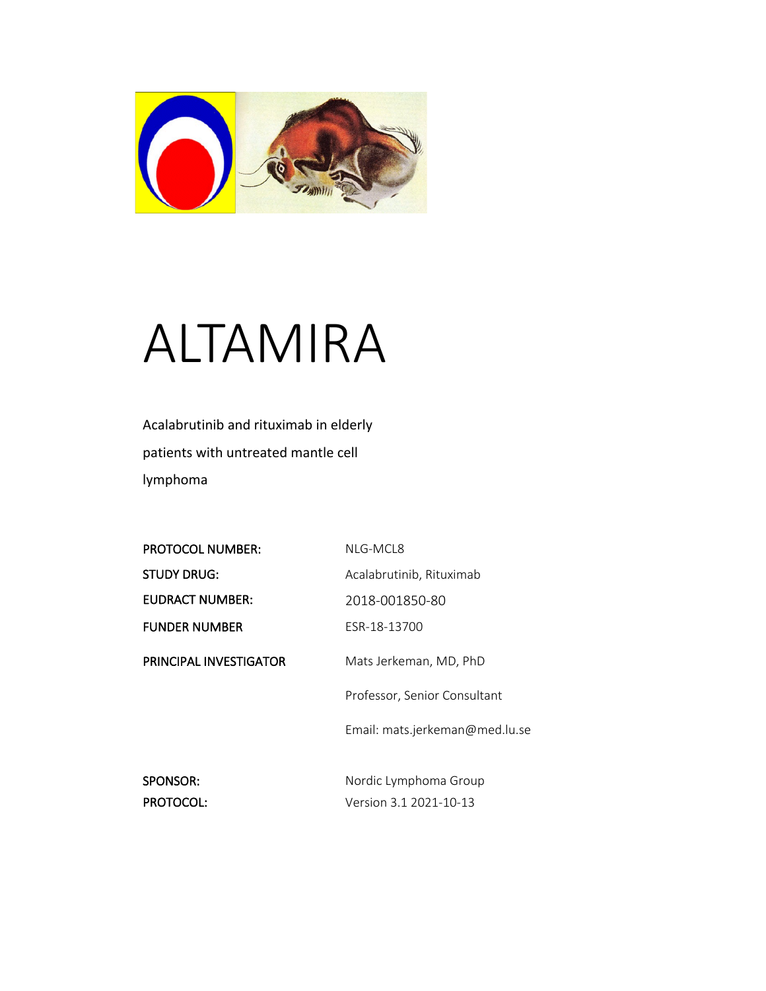

## ALTAMIRA

Acalabrutinib and rituximab in elderly patients with untreated mantle cell lymphoma

| NLG-MCL8                       |
|--------------------------------|
| Acalabrutinib, Rituximab       |
| 2018-001850-80                 |
| FSR-18-13700                   |
| Mats Jerkeman, MD, PhD         |
| Professor, Senior Consultant   |
| Email: mats.jerkeman@med.lu.se |
| Nordic Lymphoma Group          |
| Version 3.1 2021-10-13         |
|                                |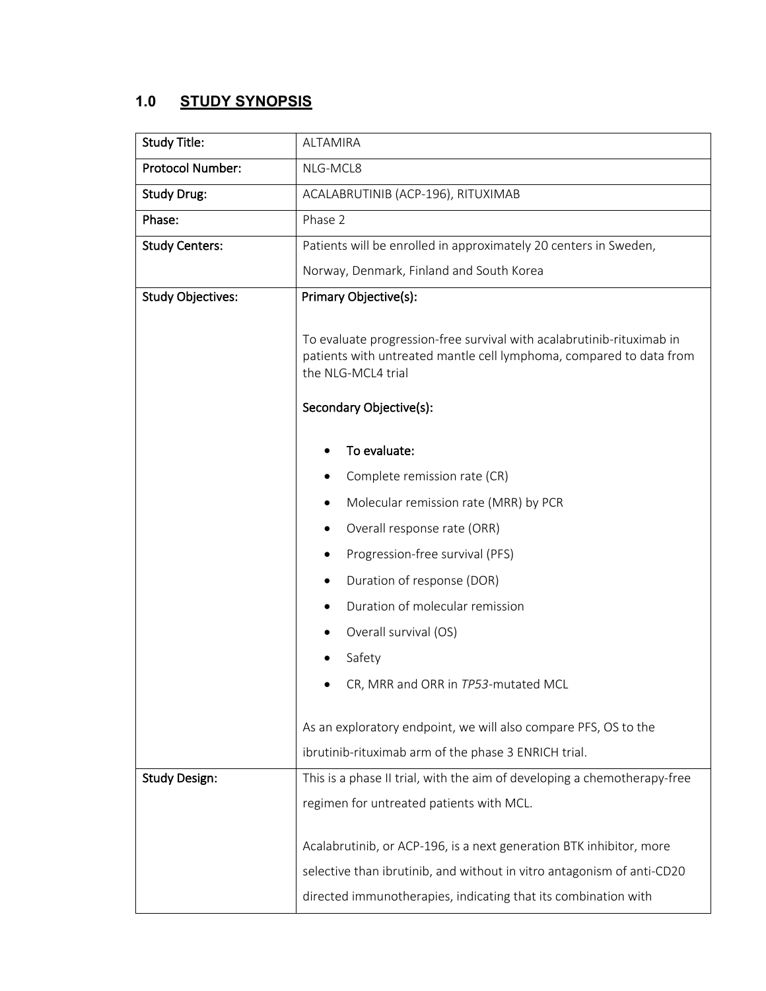## **1.0 STUDY SYNOPSIS**

| <b>Study Title:</b>      | <b>ALTAMIRA</b>                                                                                                                                                                               |  |  |
|--------------------------|-----------------------------------------------------------------------------------------------------------------------------------------------------------------------------------------------|--|--|
| Protocol Number:         | NLG-MCL8                                                                                                                                                                                      |  |  |
| <b>Study Drug:</b>       | ACALABRUTINIB (ACP-196), RITUXIMAB                                                                                                                                                            |  |  |
| Phase:                   | Phase 2                                                                                                                                                                                       |  |  |
| <b>Study Centers:</b>    | Patients will be enrolled in approximately 20 centers in Sweden,                                                                                                                              |  |  |
|                          | Norway, Denmark, Finland and South Korea                                                                                                                                                      |  |  |
| <b>Study Objectives:</b> | Primary Objective(s):                                                                                                                                                                         |  |  |
|                          | To evaluate progression-free survival with acalabrutinib-rituximab in<br>patients with untreated mantle cell lymphoma, compared to data from<br>the NLG-MCL4 trial<br>Secondary Objective(s): |  |  |
|                          | To evaluate:                                                                                                                                                                                  |  |  |
|                          | Complete remission rate (CR)                                                                                                                                                                  |  |  |
|                          | Molecular remission rate (MRR) by PCR<br>٠                                                                                                                                                    |  |  |
|                          | Overall response rate (ORR)<br>٠                                                                                                                                                              |  |  |
|                          | Progression-free survival (PFS)<br>٠                                                                                                                                                          |  |  |
|                          | Duration of response (DOR)                                                                                                                                                                    |  |  |
|                          | Duration of molecular remission                                                                                                                                                               |  |  |
|                          | Overall survival (OS)<br>٠                                                                                                                                                                    |  |  |
|                          | Safety                                                                                                                                                                                        |  |  |
|                          | CR, MRR and ORR in TP53-mutated MCL                                                                                                                                                           |  |  |
|                          | As an exploratory endpoint, we will also compare PFS, OS to the                                                                                                                               |  |  |
|                          | ibrutinib-rituximab arm of the phase 3 ENRICH trial.                                                                                                                                          |  |  |
| <b>Study Design:</b>     | This is a phase II trial, with the aim of developing a chemotherapy-free                                                                                                                      |  |  |
|                          | regimen for untreated patients with MCL.                                                                                                                                                      |  |  |
|                          |                                                                                                                                                                                               |  |  |
|                          | Acalabrutinib, or ACP-196, is a next generation BTK inhibitor, more                                                                                                                           |  |  |
|                          | selective than ibrutinib, and without in vitro antagonism of anti-CD20                                                                                                                        |  |  |
|                          | directed immunotherapies, indicating that its combination with                                                                                                                                |  |  |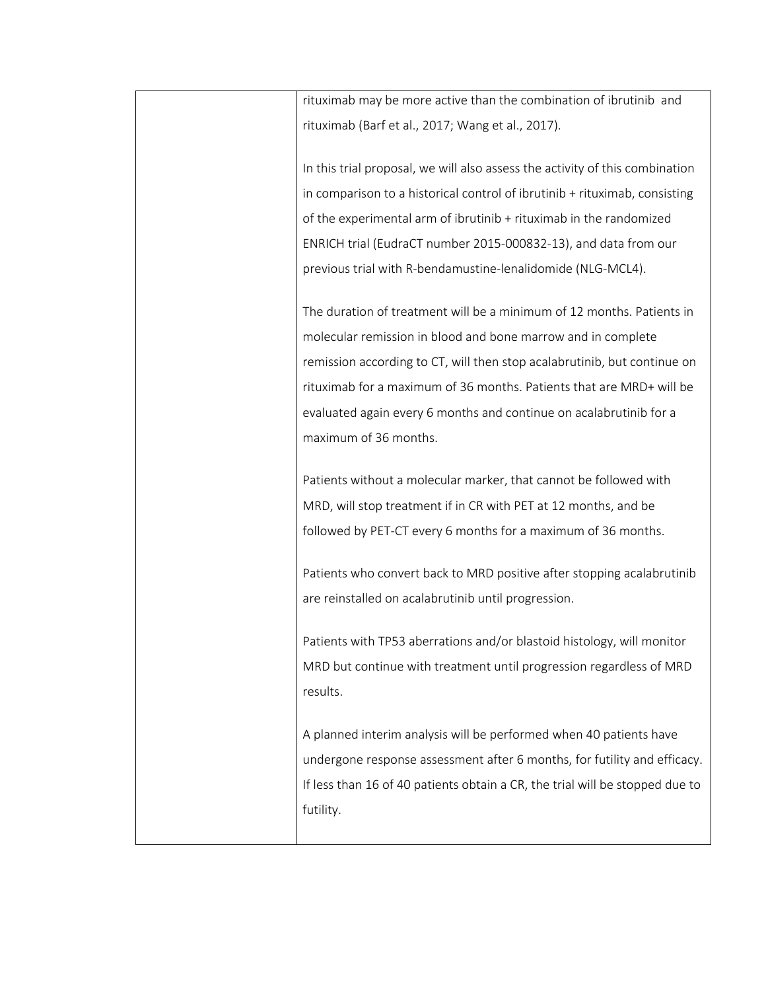| rituximab may be more active than the combination of ibrutinib and           |
|------------------------------------------------------------------------------|
| rituximab (Barf et al., 2017; Wang et al., 2017).                            |
|                                                                              |
| In this trial proposal, we will also assess the activity of this combination |
| in comparison to a historical control of ibrutinib + rituximab, consisting   |
| of the experimental arm of ibrutinib + rituximab in the randomized           |
| ENRICH trial (EudraCT number 2015-000832-13), and data from our              |
| previous trial with R-bendamustine-lenalidomide (NLG-MCL4).                  |
|                                                                              |
| The duration of treatment will be a minimum of 12 months. Patients in        |
| molecular remission in blood and bone marrow and in complete                 |
| remission according to CT, will then stop acalabrutinib, but continue on     |
| rituximab for a maximum of 36 months. Patients that are MRD+ will be         |
| evaluated again every 6 months and continue on acalabrutinib for a           |
| maximum of 36 months.                                                        |
|                                                                              |
| Patients without a molecular marker, that cannot be followed with            |
| MRD, will stop treatment if in CR with PET at 12 months, and be              |
| followed by PET-CT every 6 months for a maximum of 36 months.                |
|                                                                              |
| Patients who convert back to MRD positive after stopping acalabrutinib       |
| are reinstalled on acalabrutinib until progression.                          |
|                                                                              |
| Patients with TP53 aberrations and/or blastoid histology, will monitor       |
| MRD but continue with treatment until progression regardless of MRD          |
| results.                                                                     |
| A planned interim analysis will be performed when 40 patients have           |
| undergone response assessment after 6 months, for futility and efficacy.     |
|                                                                              |
| If less than 16 of 40 patients obtain a CR, the trial will be stopped due to |
| futility.                                                                    |
|                                                                              |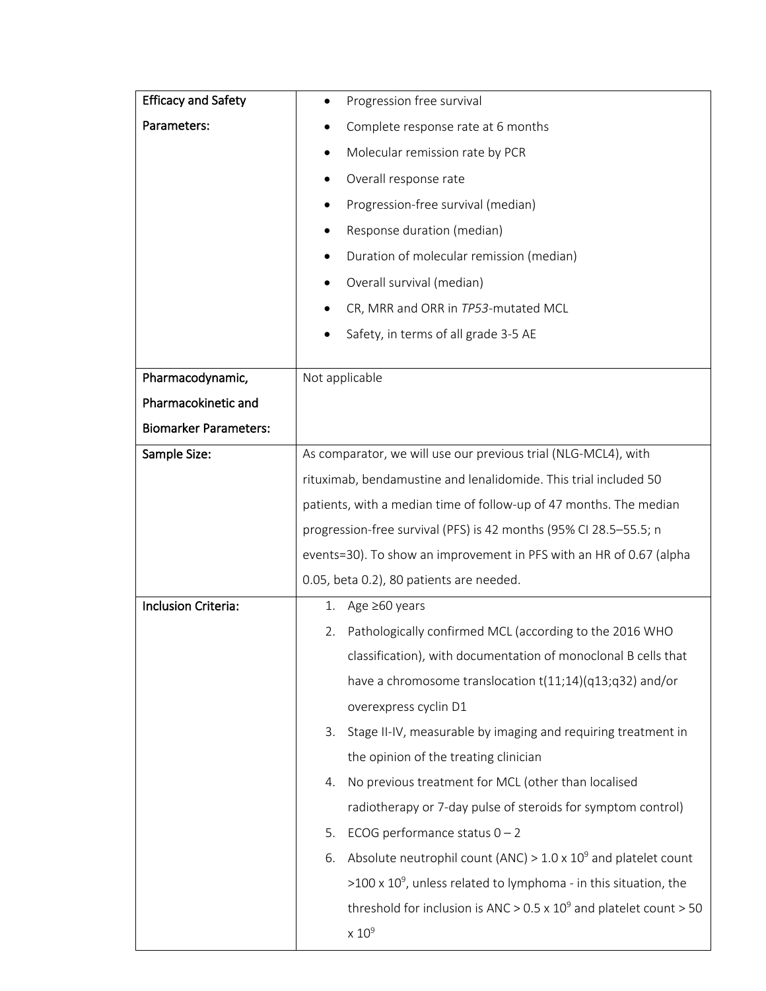| <b>Efficacy and Safety</b>   | Progression free survival                                                    |
|------------------------------|------------------------------------------------------------------------------|
| Parameters:                  | Complete response rate at 6 months                                           |
|                              | Molecular remission rate by PCR                                              |
|                              | Overall response rate                                                        |
|                              | Progression-free survival (median)                                           |
|                              | Response duration (median)<br>٠                                              |
|                              | Duration of molecular remission (median)                                     |
|                              | Overall survival (median)<br>٠                                               |
|                              | CR, MRR and ORR in TP53-mutated MCL                                          |
|                              | Safety, in terms of all grade 3-5 AE                                         |
|                              |                                                                              |
| Pharmacodynamic,             | Not applicable                                                               |
| Pharmacokinetic and          |                                                                              |
| <b>Biomarker Parameters:</b> |                                                                              |
| Sample Size:                 | As comparator, we will use our previous trial (NLG-MCL4), with               |
|                              | rituximab, bendamustine and lenalidomide. This trial included 50             |
|                              | patients, with a median time of follow-up of 47 months. The median           |
|                              | progression-free survival (PFS) is 42 months (95% CI 28.5-55.5; n            |
|                              | events=30). To show an improvement in PFS with an HR of 0.67 (alpha          |
|                              | 0.05, beta 0.2), 80 patients are needed.                                     |
| Inclusion Criteria:          | 1. Age $\geq 60$ years                                                       |
|                              | Pathologically confirmed MCL (according to the 2016 WHO<br>2.                |
|                              | classification), with documentation of monoclonal B cells that               |
|                              | have a chromosome translocation t(11;14)(q13;q32) and/or                     |
|                              | overexpress cyclin D1                                                        |
|                              | Stage II-IV, measurable by imaging and requiring treatment in<br>3.          |
|                              | the opinion of the treating clinician                                        |
|                              | No previous treatment for MCL (other than localised<br>4.                    |
|                              | radiotherapy or 7-day pulse of steroids for symptom control)                 |
|                              | 5.<br>ECOG performance status $0 - 2$                                        |
|                              | Absolute neutrophil count (ANC) > $1.0 \times 10^9$ and platelet count<br>6. |
|                              | $>100 \times 10^9$ , unless related to lymphoma - in this situation, the     |
|                              | threshold for inclusion is ANC > $0.5 \times 10^9$ and platelet count > 50   |
|                              | $\times 10^9$                                                                |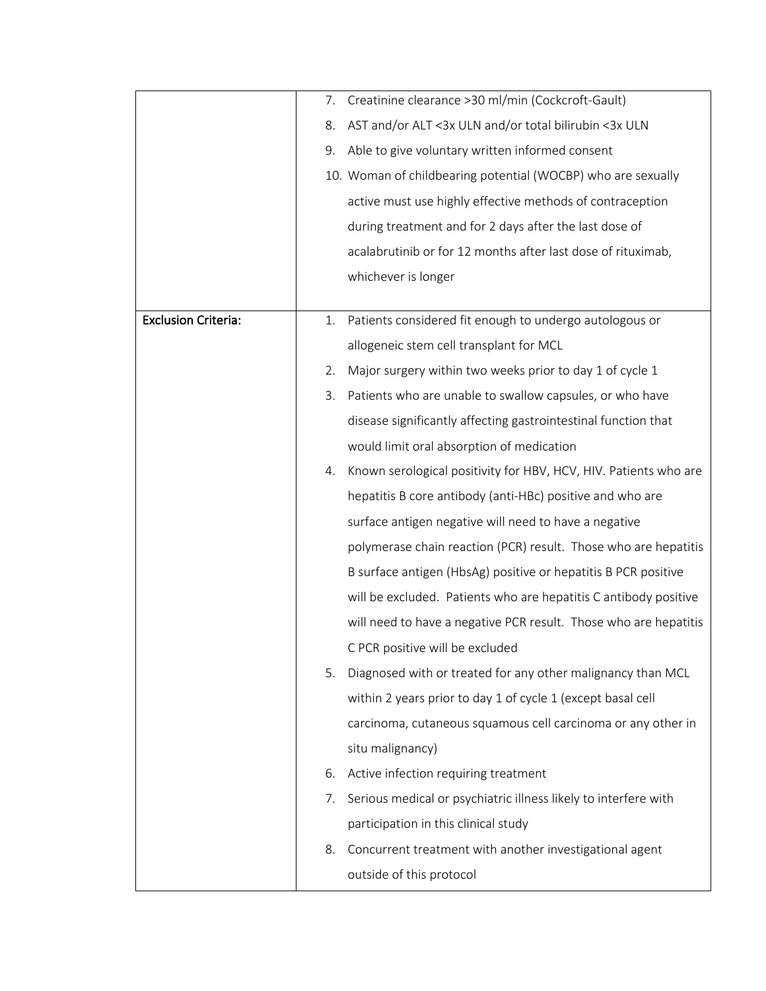|                            | 7. | Creatinine clearance > 30 ml/min (Cockcroft-Gault)               |
|----------------------------|----|------------------------------------------------------------------|
|                            | 8. | AST and/or ALT <3x ULN and/or total bilirubin <3x ULN            |
|                            | 9. | Able to give voluntary written informed consent                  |
|                            |    | 10. Woman of childbearing potential (WOCBP) who are sexually     |
|                            |    | active must use highly effective methods of contraception        |
|                            |    | during treatment and for 2 days after the last dose of           |
|                            |    | acalabrutinib or for 12 months after last dose of rituximab,     |
|                            |    | whichever is longer                                              |
|                            |    |                                                                  |
| <b>Exclusion Criteria:</b> | 1. | Patients considered fit enough to undergo autologous or          |
|                            |    | allogeneic stem cell transplant for MCL                          |
|                            | 2. | Major surgery within two weeks prior to day 1 of cycle 1         |
|                            | 3. | Patients who are unable to swallow capsules, or who have         |
|                            |    | disease significantly affecting gastrointestinal function that   |
|                            |    | would limit oral absorption of medication                        |
|                            | 4. | Known serological positivity for HBV, HCV, HIV. Patients who are |
|                            |    | hepatitis B core antibody (anti-HBc) positive and who are        |
|                            |    | surface antigen negative will need to have a negative            |
|                            |    | polymerase chain reaction (PCR) result. Those who are hepatitis  |
|                            |    | B surface antigen (HbsAg) positive or hepatitis B PCR positive   |
|                            |    | will be excluded. Patients who are hepatitis C antibody positive |
|                            |    | will need to have a negative PCR result. Those who are hepatitis |
|                            |    | C PCR positive will be excluded                                  |
|                            | 5. | Diagnosed with or treated for any other malignancy than MCL      |
|                            |    | within 2 years prior to day 1 of cycle 1 (except basal cell      |
|                            |    | carcinoma, cutaneous squamous cell carcinoma or any other in     |
|                            |    | situ malignancy)                                                 |
|                            | 6. | Active infection requiring treatment                             |
|                            | 7. | Serious medical or psychiatric illness likely to interfere with  |
|                            |    | participation in this clinical study                             |
|                            | 8. | Concurrent treatment with another investigational agent          |
|                            |    | outside of this protocol                                         |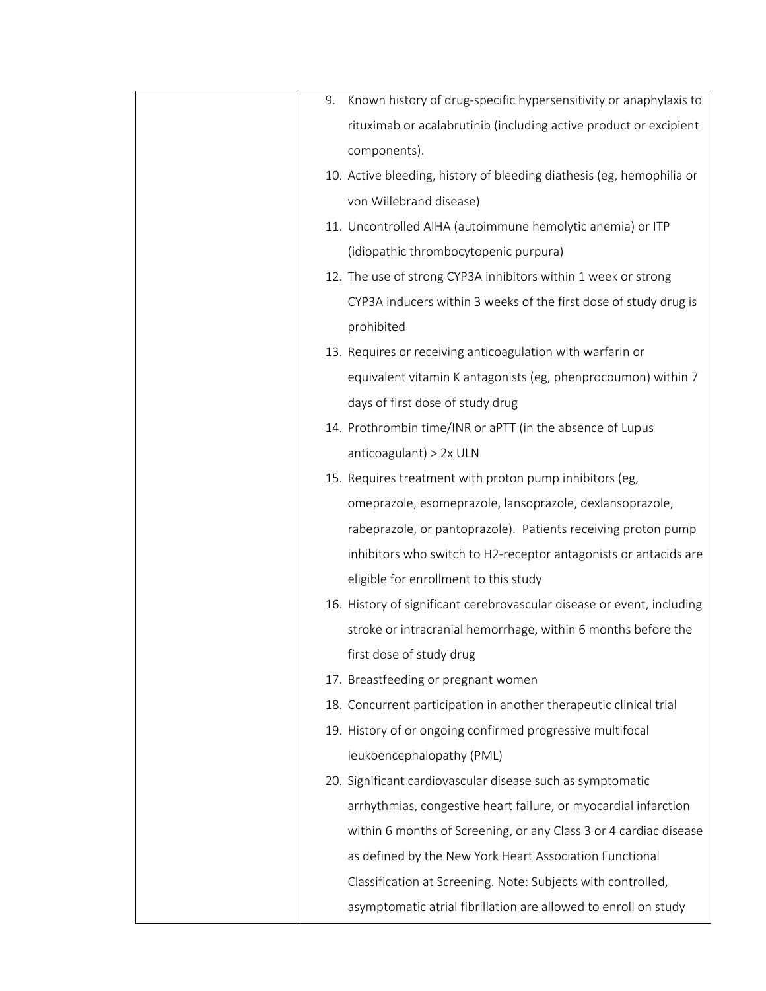| 9. | Known history of drug-specific hypersensitivity or anaphylaxis to      |
|----|------------------------------------------------------------------------|
|    | rituximab or acalabrutinib (including active product or excipient      |
|    | components).                                                           |
|    | 10. Active bleeding, history of bleeding diathesis (eg, hemophilia or  |
|    | von Willebrand disease)                                                |
|    | 11. Uncontrolled AIHA (autoimmune hemolytic anemia) or ITP             |
|    | (idiopathic thrombocytopenic purpura)                                  |
|    | 12. The use of strong CYP3A inhibitors within 1 week or strong         |
|    | CYP3A inducers within 3 weeks of the first dose of study drug is       |
|    | prohibited                                                             |
|    | 13. Requires or receiving anticoagulation with warfarin or             |
|    | equivalent vitamin K antagonists (eg, phenprocoumon) within 7          |
|    | days of first dose of study drug                                       |
|    | 14. Prothrombin time/INR or aPTT (in the absence of Lupus              |
|    | anticoagulant) > 2x ULN                                                |
|    | 15. Requires treatment with proton pump inhibitors (eg,                |
|    | omeprazole, esomeprazole, lansoprazole, dexlansoprazole,               |
|    | rabeprazole, or pantoprazole). Patients receiving proton pump          |
|    | inhibitors who switch to H2-receptor antagonists or antacids are       |
|    | eligible for enrollment to this study                                  |
|    | 16. History of significant cerebrovascular disease or event, including |
|    | stroke or intracranial hemorrhage, within 6 months before the          |
|    | first dose of study drug                                               |
|    | 17. Breastfeeding or pregnant women                                    |
|    | 18. Concurrent participation in another therapeutic clinical trial     |
|    | 19. History of or ongoing confirmed progressive multifocal             |
|    | leukoencephalopathy (PML)                                              |
|    | 20. Significant cardiovascular disease such as symptomatic             |
|    | arrhythmias, congestive heart failure, or myocardial infarction        |
|    | within 6 months of Screening, or any Class 3 or 4 cardiac disease      |
|    | as defined by the New York Heart Association Functional                |
|    | Classification at Screening. Note: Subjects with controlled,           |
|    | asymptomatic atrial fibrillation are allowed to enroll on study        |